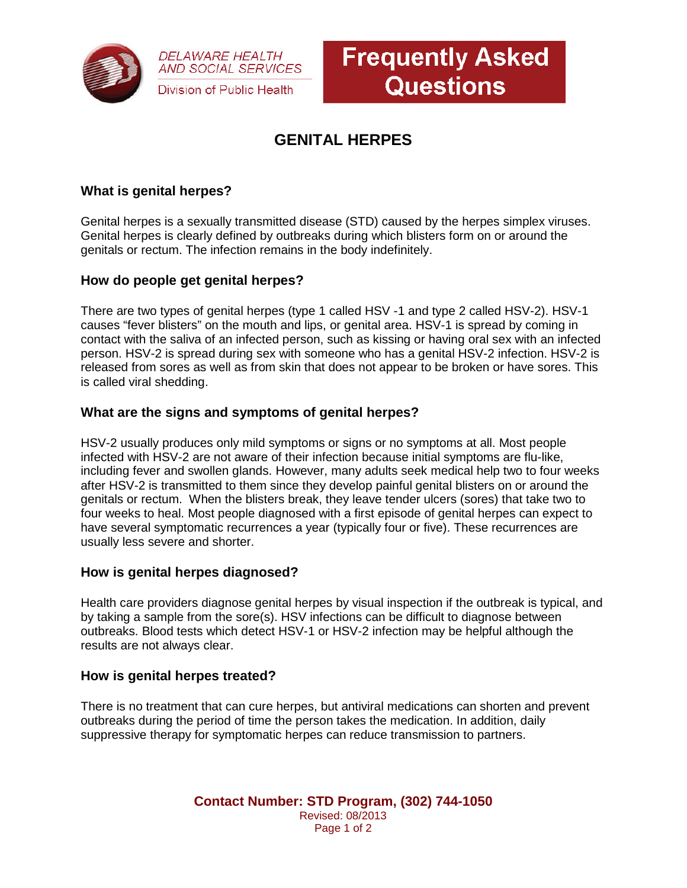

**DELAWARE HEALTH AND SOCIAL SERVICES** Division of Public Health



# **GENITAL HERPES**

## **What is genital herpes?**

Genital herpes is a sexually transmitted disease (STD) caused by the herpes simplex viruses. Genital herpes is clearly defined by outbreaks during which blisters form on or around the genitals or rectum. The infection remains in the body indefinitely.

#### **How do people get genital herpes?**

There are two types of genital herpes (type 1 called HSV -1 and type 2 called HSV-2). HSV-1 causes "fever blisters" on the mouth and lips, or genital area. HSV-1 is spread by coming in contact with the saliva of an infected person, such as kissing or having oral sex with an infected person. HSV-2 is spread during sex with someone who has a genital HSV-2 infection. HSV-2 is released from sores as well as from skin that does not appear to be broken or have sores. This is called viral shedding.

#### **What are the signs and symptoms of genital herpes?**

HSV-2 usually produces only mild symptoms or signs or no symptoms at all. Most people infected with HSV-2 are not aware of their infection because initial symptoms are flu-like, including fever and swollen glands. However, many adults seek medical help two to four weeks after HSV-2 is transmitted to them since they develop painful genital blisters on or around the genitals or rectum. When the blisters break, they leave tender ulcers (sores) that take two to four weeks to heal. Most people diagnosed with a first episode of genital herpes can expect to have several symptomatic recurrences a year (typically four or five). These recurrences are usually less severe and shorter.

#### **How is genital herpes diagnosed?**

Health care providers diagnose genital herpes by visual inspection if the outbreak is typical, and by taking a sample from the sore(s). HSV infections can be difficult to diagnose between outbreaks. Blood tests which detect HSV-1 or HSV-2 infection may be helpful although the results are not always clear.

#### **How is genital herpes treated?**

There is no treatment that can cure herpes, but antiviral medications can shorten and prevent outbreaks during the period of time the person takes the medication. In addition, daily suppressive therapy for symptomatic herpes can reduce transmission to partners.